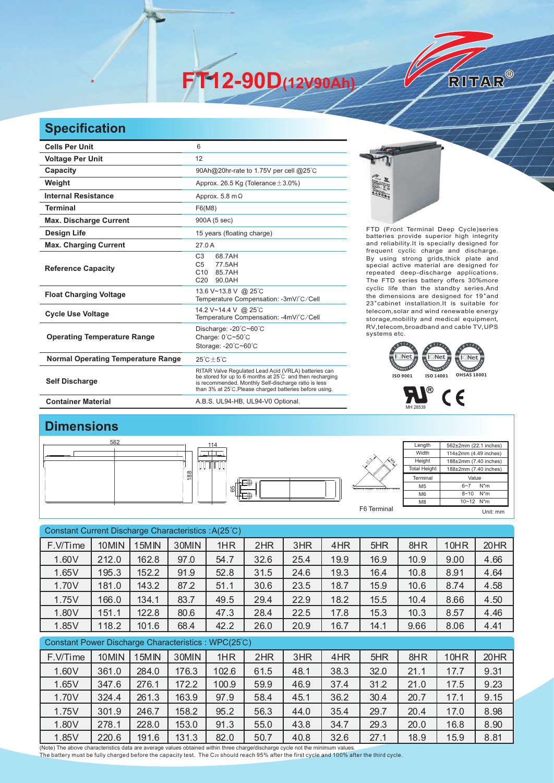**FT12-90D(12V90Ah)** 

## **Specification**

| <b>Cells Per Unit</b>                     | 6                                                                                                                                                                                                                                   |                                                                                                                                                                                                                                                                                                                                                     |
|-------------------------------------------|-------------------------------------------------------------------------------------------------------------------------------------------------------------------------------------------------------------------------------------|-----------------------------------------------------------------------------------------------------------------------------------------------------------------------------------------------------------------------------------------------------------------------------------------------------------------------------------------------------|
| <b>Voltage Per Unit</b>                   | 12                                                                                                                                                                                                                                  |                                                                                                                                                                                                                                                                                                                                                     |
| Capacity                                  | 90Ah@20hr-rate to 1.75V per cell @25°C                                                                                                                                                                                              |                                                                                                                                                                                                                                                                                                                                                     |
| Weight                                    | Approx. 26.5 Kg (Tolerance $\pm$ 3.0%)                                                                                                                                                                                              | E.                                                                                                                                                                                                                                                                                                                                                  |
| <b>Internal Resistance</b>                | Approx. 5.8 m $\Omega$                                                                                                                                                                                                              | $\begin{picture}(180,10) \put(0,0){\line(1,0){10}} \put(10,0){\line(1,0){10}} \put(10,0){\line(1,0){10}} \put(10,0){\line(1,0){10}} \put(10,0){\line(1,0){10}} \put(10,0){\line(1,0){10}} \put(10,0){\line(1,0){10}} \put(10,0){\line(1,0){10}} \put(10,0){\line(1,0){10}} \put(10,0){\line(1,0){10}} \put(10,0){\line(1,0){10}} \put(10,0){\line($ |
| <b>Terminal</b>                           | F6(M8)                                                                                                                                                                                                                              |                                                                                                                                                                                                                                                                                                                                                     |
| <b>Max. Discharge Current</b>             | 900A (5 sec)                                                                                                                                                                                                                        |                                                                                                                                                                                                                                                                                                                                                     |
| Design Life                               | 15 years (floating charge)                                                                                                                                                                                                          | FTD (Front Terminal Deep Cycle)series<br>batteries provide superior high integrity                                                                                                                                                                                                                                                                  |
| <b>Max. Charging Current</b>              | 27.0 A                                                                                                                                                                                                                              | and reliability.It is specially designed for<br>frequent cyclic charge and discharge.                                                                                                                                                                                                                                                               |
| <b>Reference Capacity</b>                 | 68.7AH<br>C <sub>3</sub><br>C <sub>5</sub><br>77.5AH<br>C <sub>10</sub><br>85.7AH<br>90.0AH<br>C <sub>20</sub>                                                                                                                      | By using strong grids, thick plate and<br>special active material are designed for<br>repeated deep-discharge applications.<br>The FTD series battery offers 30%more                                                                                                                                                                                |
| <b>Float Charging Voltage</b>             | 13.6 V~13.8 V @ 25°C<br>Temperature Compensation: -3mV/°C/Cell                                                                                                                                                                      | cyclic life than the standby series.And<br>the dimensions are designed for 19"and<br>23" cabinet installation. It is suitable for                                                                                                                                                                                                                   |
| <b>Cycle Use Voltage</b>                  | 14.2 V~14.4 V @ 25°C<br>Temperature Compensation: -4mV/°C/Cell                                                                                                                                                                      | telecom, solar and wind renewable energy<br>storage, mobility and medical equipment,                                                                                                                                                                                                                                                                |
| <b>Operating Temperature Range</b>        | Discharge: -20°C~60°C<br>Charge: $0^{\circ}$ C $\sim$ 50 $^{\circ}$ C<br>Storage: -20°C~60°C                                                                                                                                        | RV, telecom, broadband and cable TV, UPS<br>systems etc.                                                                                                                                                                                                                                                                                            |
| <b>Normal Operating Temperature Range</b> | $25^{\circ}$ C + 5 $^{\circ}$ C                                                                                                                                                                                                     | েNet i<br>$\equiv$ I Net                                                                                                                                                                                                                                                                                                                            |
| <b>Self Discharge</b>                     | RITAR Valve Regulated Lead Acid (VRLA) batteries can<br>be stored for up to 6 months at 25°C and then recharging<br>is recommended. Monthly Self-discharge ratio is less<br>than 3% at 25°C. Please charged batteries before using. | <b>OHSAS 18001</b><br>ISO 9001<br>ISO 14001                                                                                                                                                                                                                                                                                                         |
| <b>Container Material</b>                 | A.B.S. UL94-HB, UL94-V0 Optional.                                                                                                                                                                                                   |                                                                                                                                                                                                                                                                                                                                                     |

RITAR®



 $\mathbf{H}^{\circ}$  C E

## **Dimensions**

| 88<br>$\overline{ }$<br>$\overline{1}$<br>$\circ$ |
|---------------------------------------------------|
|---------------------------------------------------|



| Constant Current Discharge Characteristics: A(25°C) |       |       |       |       |      |      |      |      |      |      |      |  |
|-----------------------------------------------------|-------|-------|-------|-------|------|------|------|------|------|------|------|--|
| F.V/Time                                            | 10MIN | 15MIN | 30MIN | 1HR   | 2HR  | 3HR  | 4HR  | 5HR  | 8HR  | 10HR | 20HR |  |
| 1.60V                                               | 212.0 | 162.8 | 97.0  | 54.7  | 32.6 | 25.4 | 19.9 | 16.9 | 10.9 | 9.00 | 4.66 |  |
| 1.65V                                               | 195.3 | 152.2 | 91.9  | 52.8  | 31.5 | 24.6 | 19.3 | 16.4 | 10.8 | 8.91 | 4.64 |  |
| 1.70V                                               | 181.0 | 143.2 | 87.2  | 51.1  | 30.6 | 23.5 | 18.7 | 15.9 | 10.6 | 8.74 | 4.58 |  |
| 1.75V                                               | 166.0 | 134.1 | 83.7  | 49.5  | 29.4 | 22.9 | 18.2 | 15.5 | 10.4 | 8.66 | 4.50 |  |
| 1.80V                                               | 151.1 | 122.8 | 80.6  | 47.3  | 28.4 | 22.5 | 17.8 | 15.3 | 10.3 | 8.57 | 4.46 |  |
| 1.85V                                               | 118.2 | 101.6 | 68.4  | 42.2  | 26.0 | 20.9 | 16.7 | 14.1 | 9.66 | 8.06 | 4.41 |  |
| Constant Power Discharge Characteristics: WPC(25°C) |       |       |       |       |      |      |      |      |      |      |      |  |
| F.V/Time                                            | 10MIN | 15MIN | 30MIN | 1HR   | 2HR  | 3HR  | 4HR  | 5HR  | 8HR  | 10HR | 20HR |  |
| 1.60V                                               | 361.0 | 284.0 | 176.3 | 102.6 | 61.5 | 48.1 | 38.3 | 32.0 | 21.1 | 17.7 | 9.31 |  |
| 1.65V                                               | 347.6 | 276.1 | 172.2 | 100.9 | 59.9 | 46.9 | 37.4 | 31.2 | 21.0 | 17.5 | 9.23 |  |
| 1.70V                                               | 324.4 | 261.3 | 163.9 | 97.9  | 58.4 | 45.1 | 36.2 | 30.4 | 20.7 | 17.1 | 9.15 |  |
| 1.75V                                               | 301.9 | 246.7 | 158.2 | 95.2  | 56.3 | 44.0 | 35.4 | 29.7 | 20.4 | 17.0 | 8.98 |  |
| 1.80V                                               | 278.1 | 228.0 | 153.0 | 91.3  | 55.0 | 43.8 | 34.7 | 29.3 | 20.0 | 16.8 | 8.90 |  |

1.85V 220.6 191.6 131.3 82.0 50.7 40.8 32.6 27.1 18.9 15.9 8.81

(Note) The above characteristics data are average values obtained within three charge/discharge cycle not the minimum values.<br>The battery must be fully charged before the capacity test. The C20 should reach 95% after the